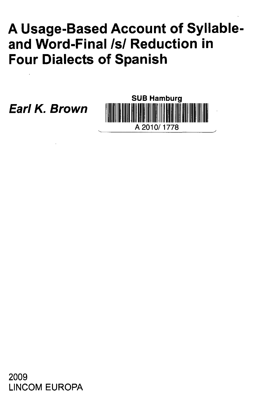## **A Usage-Based Account of Syllableand Word-Final Isl Reduction in Four Dialects of Spanish**

**Earl K. Brown**



2009 LINCOM EUROPA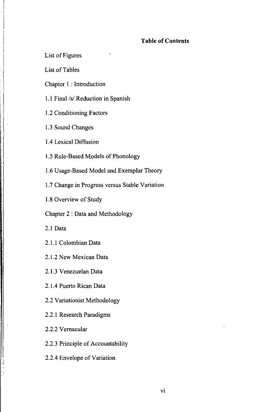## **Table of Contents**

List of Figures

List of Tables

Chapter 1 : Introduction

1.1 Final /s/ Reduction in Spanish

1.2 Conditioning Factors

1.3 Sound Changes

1.4 Lexical Diffusion

1.5 Rule-Based Models of Phonology

1.6 Usage-Based Model and Exemplar Theory

1.7 Change in Progress versus Stable Variation

1.8 Overview of Study

Chapter 2 : Data and Methodology

2.1 Data

2.1.1 Colombian Data

2.1.2 New Mexican Data

2.1.3 Venezuelan Data

2.1.4 Puerto Rican Data

2.2 Variationist Methodology

2.2.1 Research Paradigms

2.2.2 Vernacular

2.2.3 Principle of Accountability

2.2.4 Envelope of Variation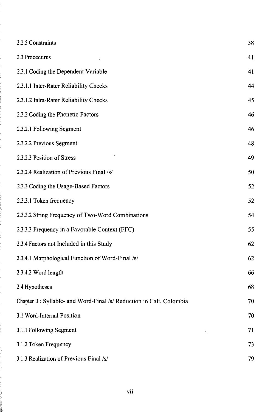| 2.2.5 Constraints                                                    | 38 |
|----------------------------------------------------------------------|----|
|                                                                      |    |
| 2.3 Procedures                                                       | 41 |
| 2.3.1 Coding the Dependent Variable                                  | 41 |
| 2.3.1.1 Inter-Rater Reliability Checks                               | 44 |
| 2.3.1.2 Intra-Rater Reliability Checks                               | 45 |
| 2.3.2 Coding the Phonetic Factors                                    | 46 |
| 2.3.2.1 Following Segment                                            | 46 |
| 2.3.2.2 Previous Segment                                             | 48 |
| 2.3.2.3 Position of Stress                                           | 49 |
| 2.3.2.4 Realization of Previous Final /s/                            | 50 |
| 2.3.3 Coding the Usage-Based Factors                                 | 52 |
| 2.3.3.1 Token frequency                                              | 52 |
| 2.3.3.2 String Frequency of Two-Word Combinations                    | 54 |
| 2.3.3.3 Frequency in a Favorable Context (FFC)                       | 55 |
| 2.3.4 Factors not Included in this Study                             | 62 |
| 2.3.4.1 Morphological Function of Word-Final /s/                     | 62 |
| 2.3.4.2 Word length                                                  | 66 |
| 2.4 Hypotheses                                                       | 68 |
| Chapter 3 : Syllable- and Word-Final /s/ Reduction in Cali, Colombia | 70 |
| 3.1 Word-Internal Position                                           | 70 |
| 3.1.1 Following Segment                                              | 71 |
| 3.1.2 Token Frequency                                                | 73 |
| 3.1.3 Realization of Previous Final /s/                              | 79 |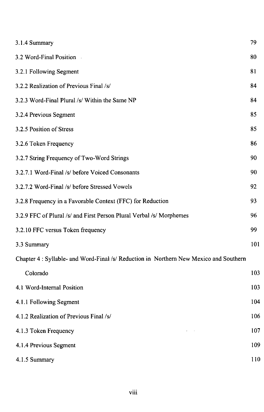| 3.1.4 Summary                                                                          | 79  |
|----------------------------------------------------------------------------------------|-----|
| 3.2 Word-Final Position -                                                              | 80  |
| 3.2.1 Following Segment                                                                | 81  |
| 3.2.2 Realization of Previous Final /s/                                                | 84  |
| 3.2.3 Word-Final Plural /s/ Within the Same NP                                         | 84  |
| 3.2.4 Previous Segment                                                                 | 85  |
| 3.2.5 Position of Stress                                                               | 85  |
| 3.2.6 Token Frequency                                                                  | 86  |
| 3.2.7 String Frequency of Two-Word Strings                                             | 90  |
| 3.2.7.1 Word-Final /s/ before Voiced Consonants                                        | 90  |
| 3.2.7.2 Word-Final /s/ before Stressed Vowels                                          | 92  |
| 3.2.8 Frequency in a Favorable Context (FFC) for Reduction                             | 93  |
| 3.2.9 FFC of Plural /s/ and First Person Plural Verbal /s/ Morphemes                   | 96  |
| 3.2.10 FFC versus Token frequency                                                      | 99  |
| 3.3 Summary                                                                            | 101 |
| Chapter 4 : Syllable- and Word-Final /s/ Reduction in Northern New Mexico and Southern |     |
| Colorado                                                                               | 103 |
| 4.1 Word-Internal Position                                                             | 103 |
| 4.1.1 Following Segment                                                                | 104 |
| 4.1.2 Realization of Previous Final /s/                                                | 106 |
| 4.1.3 Token Frequency                                                                  | 107 |
| 4.1.4 Previous Segment                                                                 | 109 |
| 4.1.5 Summary                                                                          | 110 |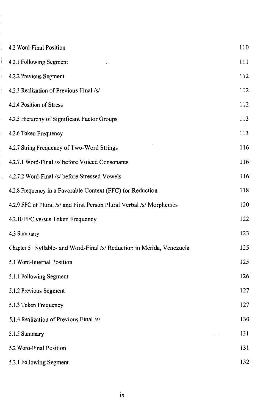| 4.2 Word-Final Position                                                 | 110 |
|-------------------------------------------------------------------------|-----|
| 4.2.1 Following Segment                                                 | 111 |
| 4.2.2 Previous Segment                                                  | 112 |
| 4.2.3 Realization of Previous Final /s/                                 | 112 |
| 4.2.4 Position of Stress                                                | 112 |
| 4.2.5 Hierarchy of Significant Factor Groups                            | 113 |
| 4.2.6 Token Frequency                                                   | 113 |
| 4.2.7 String Frequency of Two-Word Strings                              | 116 |
| 4.2.7.1 Word-Final /s/ before Voiced Consonants                         | 116 |
| 4.2.7.2 Word-Final /s/ before Stressed Vowels                           | 116 |
| 4.2.8 Frequency in a Favorable Context (FFC) for Reduction              | 118 |
| 4.2.9 FFC of Plural /s/ and First Person Plural Verbal /s/ Morphemes    | 120 |
| 4.2.10 FFC versus Token Frequency                                       | 122 |
| 4.3 Summary                                                             | 123 |
| Chapter 5 : Syllable- and Word-Final /s/ Reduction in Mérida, Venezuela | 125 |
| 5.1 Word-Internal Position                                              | 125 |
| 5.1.1 Following Segment                                                 | 126 |
| 5.1.2 Previous Segment                                                  | 127 |
| 5.1.3 Token Frequency                                                   | 127 |
| 5.1.4 Realization of Previous Final /s/                                 | 130 |
| 5.1.5 Summary                                                           | 131 |
| 5.2 Word-Final Position                                                 | 131 |
| 5.2.1 Following Segment                                                 | 132 |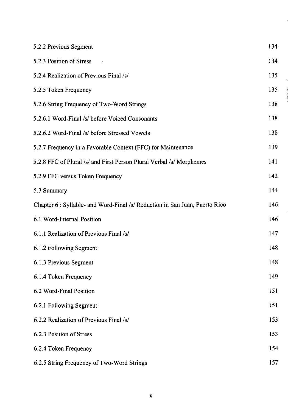| 5.2.2 Previous Segment                                                      | 134 |
|-----------------------------------------------------------------------------|-----|
| 5.2.3 Position of Stress                                                    | 134 |
| 5.2.4 Realization of Previous Final /s/                                     | 135 |
| 5.2.5 Token Frequency                                                       | 135 |
| 5.2.6 String Frequency of Two-Word Strings                                  | 138 |
| 5.2.6.1 Word-Final /s/ before Voiced Consonants                             | 138 |
| 5.2.6.2 Word-Final /s/ before Stressed Vowels                               | 138 |
| 5.2.7 Frequency in a Favorable Context (FFC) for Maintenance                | 139 |
| 5.2.8 FFC of Plural /s/ and First Person Plural Verbal /s/ Morphemes        | 141 |
| 5.2.9 FFC versus Token Frequency                                            | 142 |
| 5.3 Summary                                                                 | 144 |
| Chapter 6 : Syllable- and Word-Final /s/ Reduction in San Juan, Puerto Rico | 146 |
| 6.1 Word-Internal Position                                                  | 146 |
| 6.1.1 Realization of Previous Final /s/                                     | 147 |
| 6.1.2 Following Segment                                                     | 148 |
| 6.1.3 Previous Segment                                                      | 148 |
| 6.1.4 Token Frequency                                                       | 149 |
| 6.2 Word-Final Position                                                     | 151 |
| 6.2.1 Following Segment                                                     | 151 |
| 6.2.2 Realization of Previous Final /s/                                     | 153 |
| 6.2.3 Position of Stress                                                    | 153 |
| 6.2.4 Token Frequency                                                       | 154 |
| 6.2.5 String Frequency of Two-Word Strings                                  | 157 |

 $\frac{1}{2}$